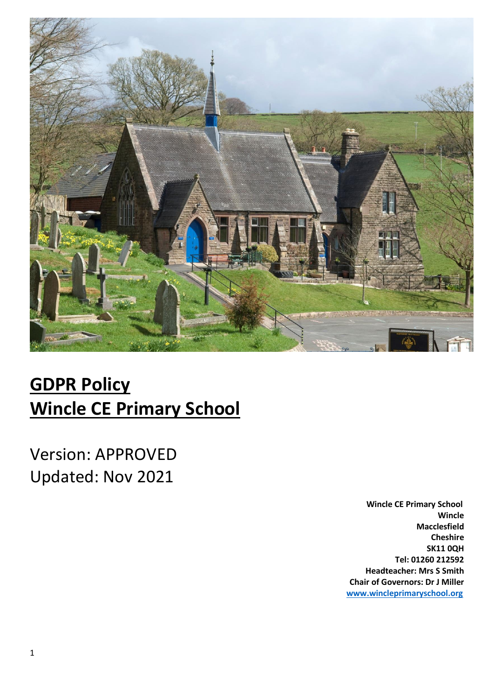

# **GDPR Policy Wincle CE Primary School**

Version: APPROVED Updated: Nov 2021

> **Wincle CE Primary School Wincle Macclesfield Cheshire SK11 0QH Tel: 01260 212592 Headteacher: Mrs S Smith Chair of Governors: Dr J Miller [www.wincleprimaryschool.org](http://www.wincleprimaryschool.org/)**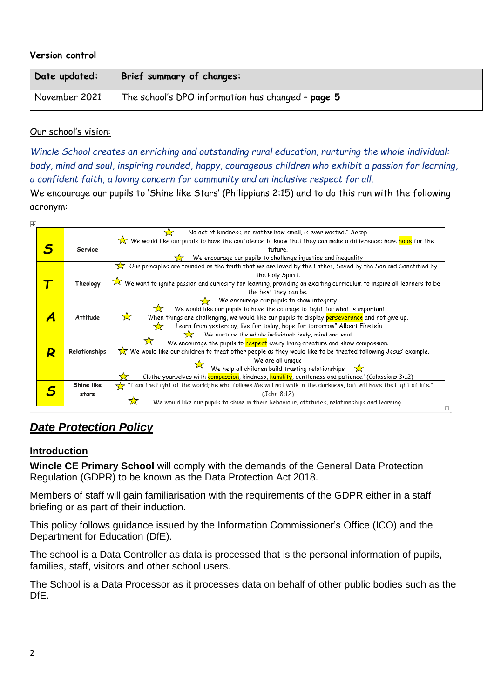#### **Version control**

| Date updated: | Brief summary of changes:                         |
|---------------|---------------------------------------------------|
| November 2021 | The school's DPO information has changed - page 5 |

#### Our school's vision:

*Wincle School creates an enriching and outstanding rural education, nurturing the whole individual: body, mind and soul, inspiring rounded, happy, courageous children who exhibit a passion for learning, a confident faith, a loving concern for community and an inclusive respect for all.*

We encourage our pupils to 'Shine like Stars' (Philippians 2:15) and to do this run with the following acronym:

| No act of kindness, no matter how small, is ever wasted." Aesop<br>₩<br>We would like our pupils to have the confidence to know that they can make a difference: have <mark>hope</mark> for the<br>Service<br>future.<br>We encourage our pupils to challenge injustice and inequality<br>$\chi$ Our principles are founded on the truth that we are loved by the Father, Saved by the Son and Sanctified by<br>the Holy Spirit.<br>$\widehat{\Join}$ We want to ignite passion and curiosity for learning, providing an exciting curriculum to inspire all learners to be<br>Theology<br>the best they can be.<br>We encourage our pupils to show integrity<br>We would like our pupils to have the courage to fight for what is important<br>☆<br>When things are challenging, we would like our pupils to display perseverance and not give up.<br><b>Attitude</b><br>Learn from yesterday, live for today, hope for tomorrow" Albert Einstein<br><u> 7.7</u><br>We nurture the whole individual: body, mind and soul<br>We encourage the pupils to respect every living creature and show compassion.<br>We would like our children to treat other people as they would like to be treated following Jesus' example.<br>Relationships<br>R<br>We are all unique<br>We help all children build trusting relationships $\sum$<br>Clothe yourselves with compassion, kindness, humility, gentleness and patience.' (Colossians 3:12)<br>"I am the Light of the world; he who follows Me will not walk in the darkness, but will have the Light of life."<br>Shine like<br>(John 8:12)<br>stars | ÷. |  |                                                                                                   |
|-------------------------------------------------------------------------------------------------------------------------------------------------------------------------------------------------------------------------------------------------------------------------------------------------------------------------------------------------------------------------------------------------------------------------------------------------------------------------------------------------------------------------------------------------------------------------------------------------------------------------------------------------------------------------------------------------------------------------------------------------------------------------------------------------------------------------------------------------------------------------------------------------------------------------------------------------------------------------------------------------------------------------------------------------------------------------------------------------------------------------------------------------------------------------------------------------------------------------------------------------------------------------------------------------------------------------------------------------------------------------------------------------------------------------------------------------------------------------------------------------------------------------------------------------------------------------------------------------|----|--|---------------------------------------------------------------------------------------------------|
|                                                                                                                                                                                                                                                                                                                                                                                                                                                                                                                                                                                                                                                                                                                                                                                                                                                                                                                                                                                                                                                                                                                                                                                                                                                                                                                                                                                                                                                                                                                                                                                                 |    |  |                                                                                                   |
|                                                                                                                                                                                                                                                                                                                                                                                                                                                                                                                                                                                                                                                                                                                                                                                                                                                                                                                                                                                                                                                                                                                                                                                                                                                                                                                                                                                                                                                                                                                                                                                                 |    |  |                                                                                                   |
|                                                                                                                                                                                                                                                                                                                                                                                                                                                                                                                                                                                                                                                                                                                                                                                                                                                                                                                                                                                                                                                                                                                                                                                                                                                                                                                                                                                                                                                                                                                                                                                                 |    |  |                                                                                                   |
|                                                                                                                                                                                                                                                                                                                                                                                                                                                                                                                                                                                                                                                                                                                                                                                                                                                                                                                                                                                                                                                                                                                                                                                                                                                                                                                                                                                                                                                                                                                                                                                                 |    |  |                                                                                                   |
|                                                                                                                                                                                                                                                                                                                                                                                                                                                                                                                                                                                                                                                                                                                                                                                                                                                                                                                                                                                                                                                                                                                                                                                                                                                                                                                                                                                                                                                                                                                                                                                                 |    |  |                                                                                                   |
|                                                                                                                                                                                                                                                                                                                                                                                                                                                                                                                                                                                                                                                                                                                                                                                                                                                                                                                                                                                                                                                                                                                                                                                                                                                                                                                                                                                                                                                                                                                                                                                                 |    |  |                                                                                                   |
|                                                                                                                                                                                                                                                                                                                                                                                                                                                                                                                                                                                                                                                                                                                                                                                                                                                                                                                                                                                                                                                                                                                                                                                                                                                                                                                                                                                                                                                                                                                                                                                                 |    |  |                                                                                                   |
|                                                                                                                                                                                                                                                                                                                                                                                                                                                                                                                                                                                                                                                                                                                                                                                                                                                                                                                                                                                                                                                                                                                                                                                                                                                                                                                                                                                                                                                                                                                                                                                                 |    |  |                                                                                                   |
|                                                                                                                                                                                                                                                                                                                                                                                                                                                                                                                                                                                                                                                                                                                                                                                                                                                                                                                                                                                                                                                                                                                                                                                                                                                                                                                                                                                                                                                                                                                                                                                                 |    |  |                                                                                                   |
|                                                                                                                                                                                                                                                                                                                                                                                                                                                                                                                                                                                                                                                                                                                                                                                                                                                                                                                                                                                                                                                                                                                                                                                                                                                                                                                                                                                                                                                                                                                                                                                                 |    |  |                                                                                                   |
|                                                                                                                                                                                                                                                                                                                                                                                                                                                                                                                                                                                                                                                                                                                                                                                                                                                                                                                                                                                                                                                                                                                                                                                                                                                                                                                                                                                                                                                                                                                                                                                                 |    |  |                                                                                                   |
|                                                                                                                                                                                                                                                                                                                                                                                                                                                                                                                                                                                                                                                                                                                                                                                                                                                                                                                                                                                                                                                                                                                                                                                                                                                                                                                                                                                                                                                                                                                                                                                                 |    |  |                                                                                                   |
|                                                                                                                                                                                                                                                                                                                                                                                                                                                                                                                                                                                                                                                                                                                                                                                                                                                                                                                                                                                                                                                                                                                                                                                                                                                                                                                                                                                                                                                                                                                                                                                                 |    |  |                                                                                                   |
|                                                                                                                                                                                                                                                                                                                                                                                                                                                                                                                                                                                                                                                                                                                                                                                                                                                                                                                                                                                                                                                                                                                                                                                                                                                                                                                                                                                                                                                                                                                                                                                                 |    |  |                                                                                                   |
|                                                                                                                                                                                                                                                                                                                                                                                                                                                                                                                                                                                                                                                                                                                                                                                                                                                                                                                                                                                                                                                                                                                                                                                                                                                                                                                                                                                                                                                                                                                                                                                                 |    |  |                                                                                                   |
|                                                                                                                                                                                                                                                                                                                                                                                                                                                                                                                                                                                                                                                                                                                                                                                                                                                                                                                                                                                                                                                                                                                                                                                                                                                                                                                                                                                                                                                                                                                                                                                                 |    |  |                                                                                                   |
|                                                                                                                                                                                                                                                                                                                                                                                                                                                                                                                                                                                                                                                                                                                                                                                                                                                                                                                                                                                                                                                                                                                                                                                                                                                                                                                                                                                                                                                                                                                                                                                                 |    |  |                                                                                                   |
|                                                                                                                                                                                                                                                                                                                                                                                                                                                                                                                                                                                                                                                                                                                                                                                                                                                                                                                                                                                                                                                                                                                                                                                                                                                                                                                                                                                                                                                                                                                                                                                                 |    |  |                                                                                                   |
|                                                                                                                                                                                                                                                                                                                                                                                                                                                                                                                                                                                                                                                                                                                                                                                                                                                                                                                                                                                                                                                                                                                                                                                                                                                                                                                                                                                                                                                                                                                                                                                                 |    |  |                                                                                                   |
|                                                                                                                                                                                                                                                                                                                                                                                                                                                                                                                                                                                                                                                                                                                                                                                                                                                                                                                                                                                                                                                                                                                                                                                                                                                                                                                                                                                                                                                                                                                                                                                                 |    |  |                                                                                                   |
|                                                                                                                                                                                                                                                                                                                                                                                                                                                                                                                                                                                                                                                                                                                                                                                                                                                                                                                                                                                                                                                                                                                                                                                                                                                                                                                                                                                                                                                                                                                                                                                                 |    |  | ☆<br>We would like our pupils to shine in their behaviour, attitudes, relationships and learning. |

# *Date Protection Policy*

# **Introduction**

**Wincle CE Primary School** will comply with the demands of the General Data Protection Regulation (GDPR) to be known as the Data Protection Act 2018.

Members of staff will gain familiarisation with the requirements of the GDPR either in a staff briefing or as part of their induction.

This policy follows guidance issued by the Information Commissioner's Office (ICO) and the Department for Education (DfE).

The school is a Data Controller as data is processed that is the personal information of pupils, families, staff, visitors and other school users.

The School is a Data Processor as it processes data on behalf of other public bodies such as the DfE.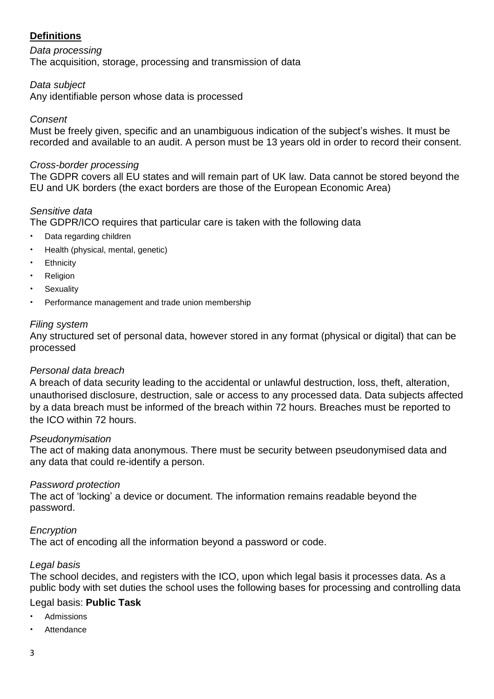# **Definitions**

*Data processing* The acquisition, storage, processing and transmission of data

# *Data subject*

Any identifiable person whose data is processed

#### *Consent*

Must be freely given, specific and an unambiguous indication of the subject's wishes. It must be recorded and available to an audit. A person must be 13 years old in order to record their consent.

#### *Cross-border processing*

The GDPR covers all EU states and will remain part of UK law. Data cannot be stored beyond the EU and UK borders (the exact borders are those of the European Economic Area)

#### *Sensitive data*

The GDPR/ICO requires that particular care is taken with the following data

- Data regarding children
- Health (physical, mental, genetic)
- **Ethnicity**
- **Religion**
- **Sexuality**
- Performance management and trade union membership

#### *Filing system*

Any structured set of personal data, however stored in any format (physical or digital) that can be processed

#### *Personal data breach*

A breach of data security leading to the accidental or unlawful destruction, loss, theft, alteration, unauthorised disclosure, destruction, sale or access to any processed data. Data subjects affected by a data breach must be informed of the breach within 72 hours. Breaches must be reported to the ICO within 72 hours.

#### *Pseudonymisation*

The act of making data anonymous. There must be security between pseudonymised data and any data that could re-identify a person.

#### *Password protection*

The act of 'locking' a device or document. The information remains readable beyond the password.

# *Encryption*

The act of encoding all the information beyond a password or code.

# *Legal basis*

The school decides, and registers with the ICO, upon which legal basis it processes data. As a public body with set duties the school uses the following bases for processing and controlling data

# Legal basis: **Public Task**

- Admissions
- **Attendance**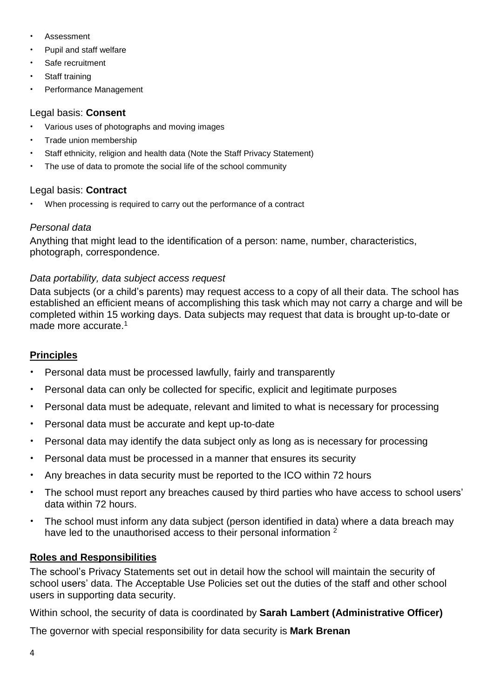- **Assessment**
- Pupil and staff welfare
- Safe recruitment
- Staff training
- Performance Management

# Legal basis: **Consent**

- Various uses of photographs and moving images
- Trade union membership
- Staff ethnicity, religion and health data (Note the Staff Privacy Statement)
- The use of data to promote the social life of the school community

# Legal basis: **Contract**

• When processing is required to carry out the performance of a contract

# *Personal data*

Anything that might lead to the identification of a person: name, number, characteristics, photograph, correspondence.

# *Data portability, data subject access request*

Data subjects (or a child's parents) may request access to a copy of all their data. The school has established an efficient means of accomplishing this task which may not carry a charge and will be completed within 15 working days. Data subjects may request that data is brought up-to-date or made more accurate.<sup>1</sup>

# **Principles**

- Personal data must be processed lawfully, fairly and transparently
- Personal data can only be collected for specific, explicit and legitimate purposes
- Personal data must be adequate, relevant and limited to what is necessary for processing
- Personal data must be accurate and kept up-to-date
- Personal data may identify the data subject only as long as is necessary for processing
- Personal data must be processed in a manner that ensures its security
- Any breaches in data security must be reported to the ICO within 72 hours
- The school must report any breaches caused by third parties who have access to school users' data within 72 hours.
- The school must inform any data subject (person identified in data) where a data breach may have led to the unauthorised access to their personal information <sup>2</sup>

# **Roles and Responsibilities**

The school's Privacy Statements set out in detail how the school will maintain the security of school users' data. The Acceptable Use Policies set out the duties of the staff and other school users in supporting data security.

Within school, the security of data is coordinated by **Sarah Lambert (Administrative Officer)**

The governor with special responsibility for data security is **Mark Brenan**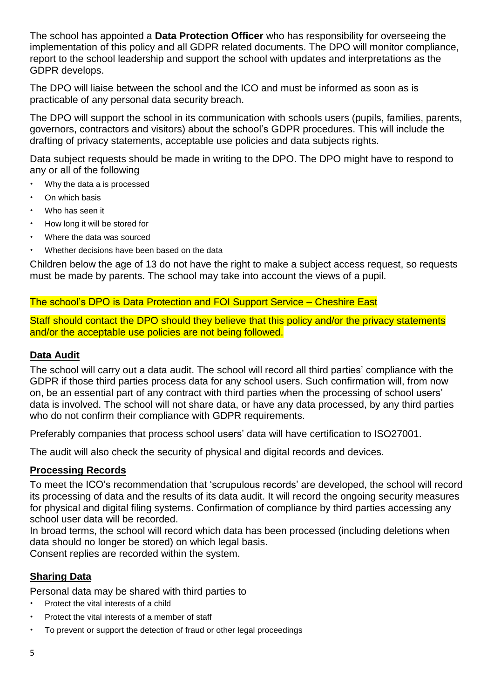The school has appointed a **Data Protection Officer** who has responsibility for overseeing the implementation of this policy and all GDPR related documents. The DPO will monitor compliance, report to the school leadership and support the school with updates and interpretations as the GDPR develops.

The DPO will liaise between the school and the ICO and must be informed as soon as is practicable of any personal data security breach.

The DPO will support the school in its communication with schools users (pupils, families, parents, governors, contractors and visitors) about the school's GDPR procedures. This will include the drafting of privacy statements, acceptable use policies and data subjects rights.

Data subject requests should be made in writing to the DPO. The DPO might have to respond to any or all of the following

- Why the data a is processed
- On which basis
- Who has seen it
- How long it will be stored for
- Where the data was sourced
- Whether decisions have been based on the data

Children below the age of 13 do not have the right to make a subject access request, so requests must be made by parents. The school may take into account the views of a pupil.

The school's DPO is Data Protection and FOI Support Service – Cheshire East

Staff should contact the DPO should they believe that this policy and/or the privacy statements and/or the acceptable use policies are not being followed.

#### **Data Audit**

The school will carry out a data audit. The school will record all third parties' compliance with the GDPR if those third parties process data for any school users. Such confirmation will, from now on, be an essential part of any contract with third parties when the processing of school users' data is involved. The school will not share data, or have any data processed, by any third parties who do not confirm their compliance with GDPR requirements.

Preferably companies that process school users' data will have certification to ISO27001.

The audit will also check the security of physical and digital records and devices.

#### **Processing Records**

To meet the ICO's recommendation that 'scrupulous records' are developed, the school will record its processing of data and the results of its data audit. It will record the ongoing security measures for physical and digital filing systems. Confirmation of compliance by third parties accessing any school user data will be recorded.

In broad terms, the school will record which data has been processed (including deletions when data should no longer be stored) on which legal basis.

Consent replies are recorded within the system.

# **Sharing Data**

Personal data may be shared with third parties to

- Protect the vital interests of a child
- Protect the vital interests of a member of staff
- To prevent or support the detection of fraud or other legal proceedings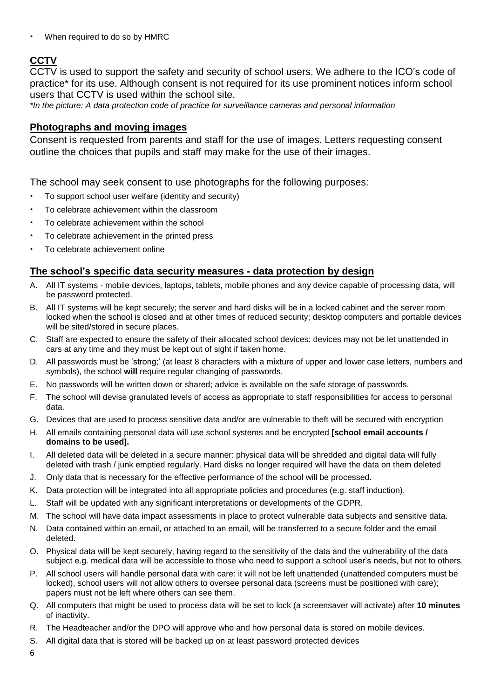• When required to do so by HMRC

# **CCTV**

CCTV is used to support the safety and security of school users. We adhere to the ICO's code of practice\* for its use. Although consent is not required for its use prominent notices inform school users that CCTV is used within the school site.

*\*In the picture: A data protection code of practice for surveillance cameras and personal information*

#### **Photographs and moving images**

Consent is requested from parents and staff for the use of images. Letters requesting consent outline the choices that pupils and staff may make for the use of their images.

The school may seek consent to use photographs for the following purposes:

- To support school user welfare (identity and security)
- To celebrate achievement within the classroom
- To celebrate achievement within the school
- To celebrate achievement in the printed press
- To celebrate achievement online

#### **The school's specific data security measures - data protection by design**

- A. All IT systems mobile devices, laptops, tablets, mobile phones and any device capable of processing data, will be password protected.
- B. All IT systems will be kept securely; the server and hard disks will be in a locked cabinet and the server room locked when the school is closed and at other times of reduced security; desktop computers and portable devices will be sited/stored in secure places.
- C. Staff are expected to ensure the safety of their allocated school devices: devices may not be let unattended in cars at any time and they must be kept out of sight if taken home.
- D. All passwords must be 'strong;' (at least 8 characters with a mixture of upper and lower case letters, numbers and symbols), the school **will** require regular changing of passwords.
- E. No passwords will be written down or shared; advice is available on the safe storage of passwords.
- F. The school will devise granulated levels of access as appropriate to staff responsibilities for access to personal data.
- G. Devices that are used to process sensitive data and/or are vulnerable to theft will be secured with encryption
- H. All emails containing personal data will use school systems and be encrypted **[school email accounts / domains to be used].**
- I. All deleted data will be deleted in a secure manner: physical data will be shredded and digital data will fully deleted with trash / junk emptied regularly. Hard disks no longer required will have the data on them deleted
- J. Only data that is necessary for the effective performance of the school will be processed.
- K. Data protection will be integrated into all appropriate policies and procedures (e.g. staff induction).
- L. Staff will be updated with any significant interpretations or developments of the GDPR.
- M. The school will have data impact assessments in place to protect vulnerable data subjects and sensitive data.
- N. Data contained within an email, or attached to an email, will be transferred to a secure folder and the email deleted.
- O. Physical data will be kept securely, having regard to the sensitivity of the data and the vulnerability of the data subject e.g. medical data will be accessible to those who need to support a school user's needs, but not to others.
- P. All school users will handle personal data with care: it will not be left unattended (unattended computers must be locked), school users will not allow others to oversee personal data (screens must be positioned with care); papers must not be left where others can see them.
- Q. All computers that might be used to process data will be set to lock (a screensaver will activate) after **10 minutes** of inactivity.
- R. The Headteacher and/or the DPO will approve who and how personal data is stored on mobile devices.
- S. All digital data that is stored will be backed up on at least password protected devices

6